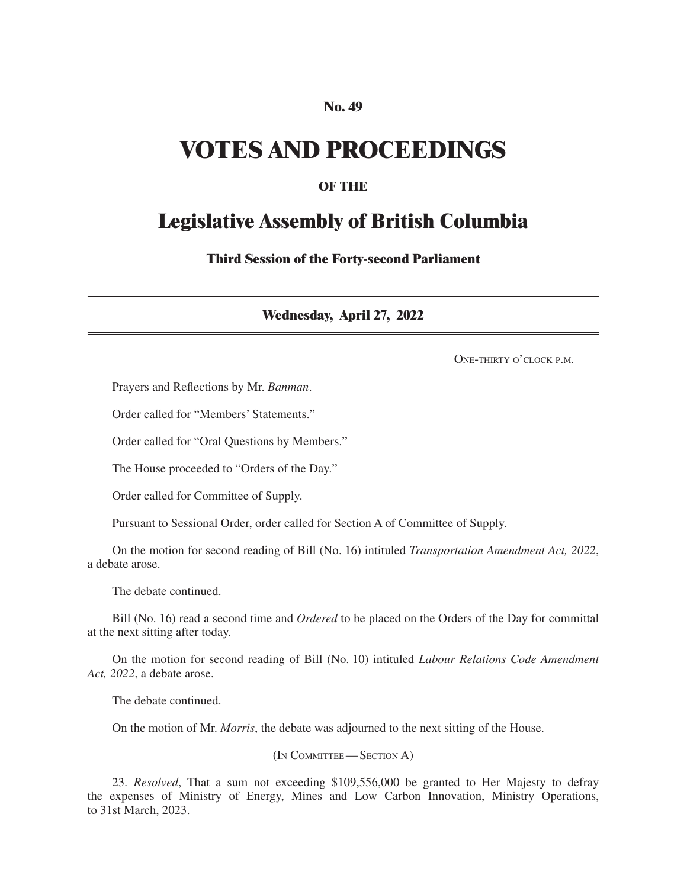## **No. 49**

# **VOTES AND PROCEEDINGS**

# **OF THE**

# **Legislative Assembly of British Columbia**

**Third Session of the Forty-second Parliament**

**Wednesday, April 27, 2022**

ONE-THIRTY O'CLOCK P.M.

Prayers and Reflections by Mr. *Banman*.

Order called for "Members' Statements."

Order called for "Oral Questions by Members."

The House proceeded to "Orders of the Day."

Order called for Committee of Supply.

Pursuant to Sessional Order, order called for Section A of Committee of Supply.

On the motion for second reading of Bill (No. 16) intituled *Transportation Amendment Act, 2022*, a debate arose.

The debate continued.

Bill (No. 16) read a second time and *Ordered* to be placed on the Orders of the Day for committal at the next sitting after today.

On the motion for second reading of Bill (No. 10) intituled *Labour Relations Code Amendment Act, 2022*, a debate arose.

The debate continued.

On the motion of Mr. *Morris*, the debate was adjourned to the next sitting of the House.

(In Committee—Section A)

23. *Resolved*, That a sum not exceeding \$109,556,000 be granted to Her Majesty to defray the expenses of Ministry of Energy, Mines and Low Carbon Innovation, Ministry Operations, to 31st March, 2023.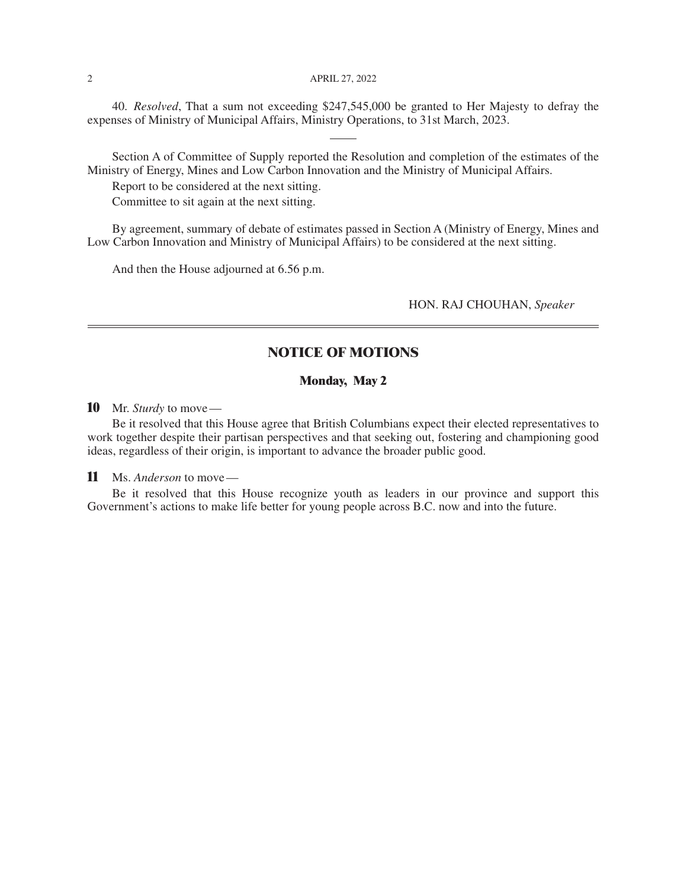#### 2 **APRIL 27, 2022**

40. *Resolved*, That a sum not exceeding \$247,545,000 be granted to Her Majesty to defray the expenses of Ministry of Municipal Affairs, Ministry Operations, to 31st March, 2023.

Section A of Committee of Supply reported the Resolution and completion of the estimates of the Ministry of Energy, Mines and Low Carbon Innovation and the Ministry of Municipal Affairs.

Report to be considered at the next sitting.

Committee to sit again at the next sitting.

By agreement, summary of debate of estimates passed in Section A (Ministry of Energy, Mines and Low Carbon Innovation and Ministry of Municipal Affairs) to be considered at the next sitting.

And then the House adjourned at 6.56 p.m.

HON. RAJ CHOUHAN, *Speaker*

## **NOTICE OF MOTIONS**

#### **Monday, May 2**

**10** Mr. *Sturdy* to move—

Be it resolved that this House agree that British Columbians expect their elected representatives to work together despite their partisan perspectives and that seeking out, fostering and championing good ideas, regardless of their origin, is important to advance the broader public good.

**11** Ms. *Anderson* to move—

Be it resolved that this House recognize youth as leaders in our province and support this Government's actions to make life better for young people across B.C. now and into the future.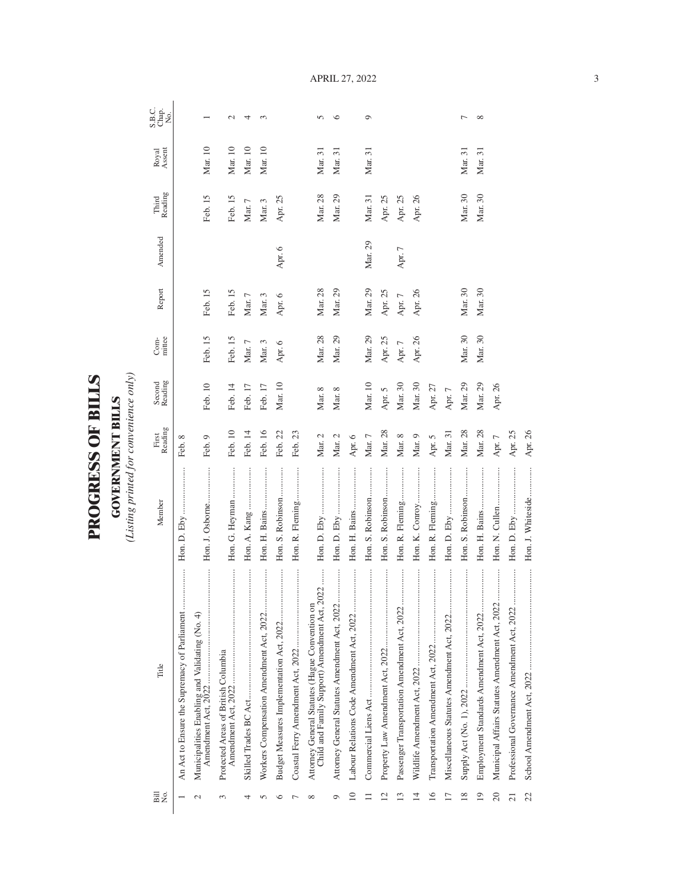| $\overline{\phantom{0}}$<br>ŗ<br>ļ<br>í |  |
|-----------------------------------------|--|
| Ļ<br>ĺ                                  |  |
| S<br>E<br>ſ                             |  |
| Ĉ                                       |  |

**GOVERNMENT BILLS**<br>(Listing printed for convenience only) *(Listing printed for convenience only)*

**GOVERNMENT BILLS**

| Bill<br>Σó,     | Title                                                                                           | Member              | First<br>Reading | Second<br>Reading | mittee<br>$Com-$ | Report      | Amended  | Reading<br>Third | Royal<br>Assent | S.B.C.<br>Chap.<br>No. |
|-----------------|-------------------------------------------------------------------------------------------------|---------------------|------------------|-------------------|------------------|-------------|----------|------------------|-----------------|------------------------|
|                 | <br>An Act to Ensure the Supremacy of Parliament                                                |                     | Feb. 8           |                   |                  |             |          |                  |                 |                        |
| $\mathcal{L}$   | <br>Municipalities Enabling and Validating (No. 4)                                              | Hon. J. Osborne     | Feb. 9           | Feb. 10           | Feb. 15          | Feb. 15     |          | Feb. 15          | Mar. 10         |                        |
| $\infty$        | Protected Areas of British Columbia                                                             | Hon. G. Heyman      | Feb. 10          | Feb. 14           | Feb. 15          | Feb. 15     |          | Feb. 15          | Mar. 10         | $\mathcal{L}$          |
|                 |                                                                                                 |                     | Feb. 14          | Feb. 17           | Mar. $7\,$       | Mar. $7\,$  |          | Mar. 7           | Mar. 10         | 4                      |
| r               | Workers Compensation Amendment Act, 2022                                                        | Hon. H. Bains       | Feb. 16          | Feb. 17           | Mar. 3           | Mar. 3      |          | Mar. 3           | Mar. 10         | $\infty$               |
|                 |                                                                                                 | Hon. S. Robinson    | Feb. 22          | Mar. 10           | Apr. 6           | Apr. 6      | Apr. 6   | Apr. 25          |                 |                        |
|                 |                                                                                                 | Hon. R. Fleming     | Feb. 23          |                   |                  |             |          |                  |                 |                        |
| $\infty$        | Child and Family Support) Amendment Act, 2022<br>Attorney General Statutes (Hague Convention on |                     | Mar. $2\,$       | Mar. 8            | Mar. 28          | Mar. 28     |          | Mar. 28          | Mar. 31         | $\Omega$               |
| ᡋ               |                                                                                                 |                     | Mar. 2           | Mar. 8            | Mar. 29          | Mar. 29     |          | Mar. 29          | Mar. 31         | $\circ$                |
| $\overline{10}$ |                                                                                                 | Hon. H. Bains       | Apr. $6$         |                   |                  |             |          |                  |                 |                        |
|                 |                                                                                                 | Hon. S. Robinson    | $\rm{Mar.}$ $7$  | Mar. 10           | Mar. 29          | Mar. 29     | Mar. 29  | Mar. 31          | Mar. 31         | $\circ$                |
|                 | <br>Property Law Amendment Act, 2022                                                            | Hon. S. Robinson    | Mar. 28          | Apr. 5            | Apr. 25          | Apr. $25\,$ |          | Apr. 25          |                 |                        |
| ≌               | Passenger Transportation Amendment Act, 2022                                                    | Hon. R. Fleming     | Mar. 8           | Mar. 30           | Apr. $7$         | Apr. $7$    | Apr. $7$ | Apr. 25          |                 |                        |
| ᅺ               | .<br>.<br>.<br>.<br>.<br>.<br>.<br>Wildlife Amendment Act, 2022                                 | Hon. K. Conroy      | Mar. 9           | Mar. 30           | Apr. 26          | Apr. 26     |          | Apr. 26          |                 |                        |
| $\overline{16}$ | <br>Transportation Amendment Act, 2022                                                          | <br>Hon. R. Fleming | Apr. 5           | Apr. $27$         |                  |             |          |                  |                 |                        |
|                 |                                                                                                 |                     | Mar. 31          | Apr. $7$          |                  |             |          |                  |                 |                        |
| 18              |                                                                                                 | Hon. S. Robinson    | Mar. 28          | Mar. 29           | Mar. 30          | Mar. 30     |          | Mar. 30          | Mar. 31         | $\overline{ }$         |
| $\overline{19}$ |                                                                                                 |                     | Mar. 28          | Mar. 29           | Mar. 30          | Mar. 30     |          | Mar. 30          | Mar. 31         | $\infty$               |
| 20              | Municipal Affairs Statutes Amendment Act, 2022                                                  |                     | Apr. $7$         | Apr. 26           |                  |             |          |                  |                 |                        |
| $\overline{21}$ |                                                                                                 |                     | Apr. 25          |                   |                  |             |          |                  |                 |                        |
| 22              |                                                                                                 | Hon. J. Whiteside   | Apr. 26          |                   |                  |             |          |                  |                 |                        |

April 27, 2022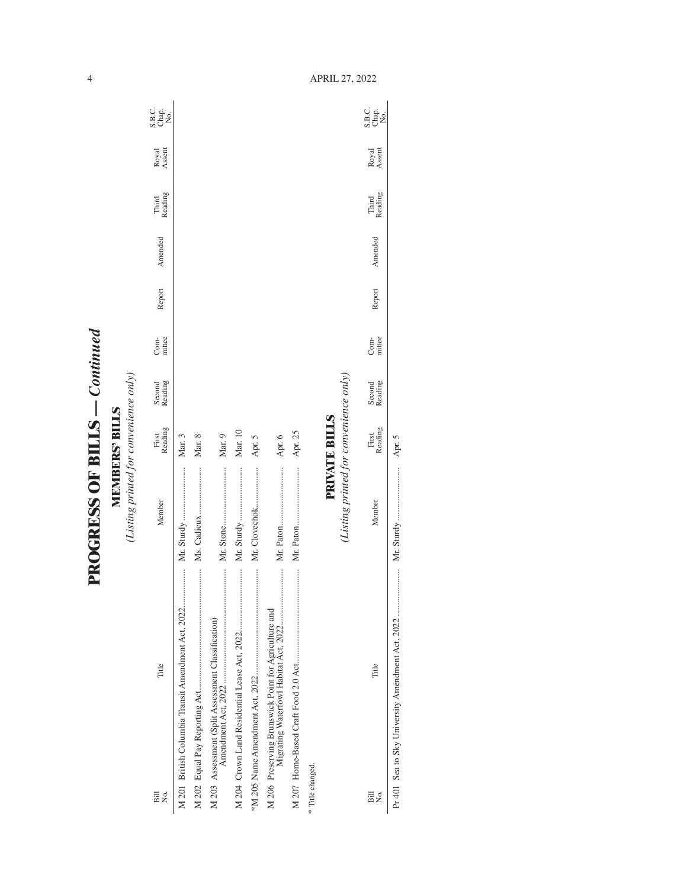| ζ                          |  |
|----------------------------|--|
| <b>CHALLER LICE COLLER</b> |  |
| i                          |  |

**MEMBERS' BILLS**<br>(Listing printed for convenience only) *(Listing printed for convenience only)* **MEMBERS' BILLS**

| Bill<br>ρó                                           | Title                                              | Member                                 | Reading<br>First     | Second<br>Reading | Com-<br>mittee | Report | Amended | Third<br>Reading | Royal<br>Assent | C<br>SH <sub>O</sub><br>SH <sub>O</sub> |
|------------------------------------------------------|----------------------------------------------------|----------------------------------------|----------------------|-------------------|----------------|--------|---------|------------------|-----------------|-----------------------------------------|
|                                                      | M 201 British Columbia Transit Amendment Act, 2022 |                                        | Mar. 3               |                   |                |        |         |                  |                 |                                         |
|                                                      |                                                    | Ms. Cadieux                            | Mar. 8               |                   |                |        |         |                  |                 |                                         |
| M 203 Assessment (Split Assessment Classification)   |                                                    |                                        | Mar. 9               |                   |                |        |         |                  |                 |                                         |
|                                                      |                                                    | Mr. Sturdy                             | Mar. 10              |                   |                |        |         |                  |                 |                                         |
|                                                      |                                                    | Mr. Clovechok                          | Apr. 5               |                   |                |        |         |                  |                 |                                         |
| M 206 Preserving Brunswick Point for Agriculture and |                                                    |                                        | Apr. 6               |                   |                |        |         |                  |                 |                                         |
|                                                      |                                                    |                                        | Apr. 25              |                   |                |        |         |                  |                 |                                         |
| * Title changed.                                     |                                                    |                                        |                      |                   |                |        |         |                  |                 |                                         |
|                                                      |                                                    | (Listing printed for convenience only) | <b>PRIVATE BILLS</b> |                   |                |        |         |                  |                 |                                         |
| Bill<br>Σó                                           | Title                                              | Member                                 | First<br>Reading     | Second<br>Reading | Com-<br>mittee | Report | Amended | Third<br>Reading | Royal<br>Assent | SB.C.<br>SB.C<br>Nap.                   |

April 27, 2022

Pr 401 Sea to Sky University Amendment Act, 2022 ..................... Mr. Sturdy ........................ Apr. 5

4